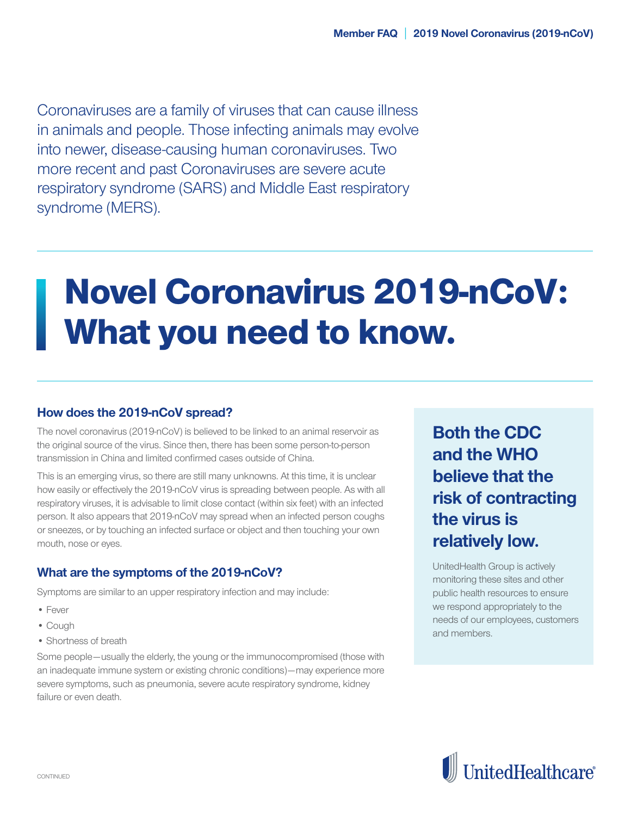Coronaviruses are a family of viruses that can cause illness in animals and people. Those infecting animals may evolve into newer, disease-causing human coronaviruses. Two more recent and past Coronaviruses are severe acute respiratory syndrome (SARS) and Middle East respiratory syndrome (MERS).

# Novel Coronavirus 2019-nCoV: What you need to know.

## **How does the 2019-nCoV spread?**

The novel coronavirus (2019-nCoV) is believed to be linked to an animal reservoir as the original source of the virus. Since then, there has been some person-to-person transmission in China and limited confirmed cases outside of China.

This is an emerging virus, so there are still many unknowns. At this time, it is unclear how easily or effectively the 2019-nCoV virus is spreading between people. As with all respiratory viruses, it is advisable to limit close contact (within six feet) with an infected person. It also appears that 2019-nCoV may spread when an infected person coughs or sneezes, or by touching an infected surface or object and then touching your own mouth, nose or eyes.

## **What are the symptoms of the 2019-nCoV?**

Symptoms are similar to an upper respiratory infection and may include:

- Fever
- Cough
- Shortness of breath

Some people—usually the elderly, the young or the immunocompromised (those with an inadequate immune system or existing chronic conditions)—may experience more severe symptoms, such as pneumonia, severe acute respiratory syndrome, kidney failure or even death.

**Both the CDC and the WHO believe that the risk of contracting the virus is relatively low.**

UnitedHealth Group is actively monitoring these sites and other public health resources to ensure we respond appropriately to the needs of our employees, customers and members.